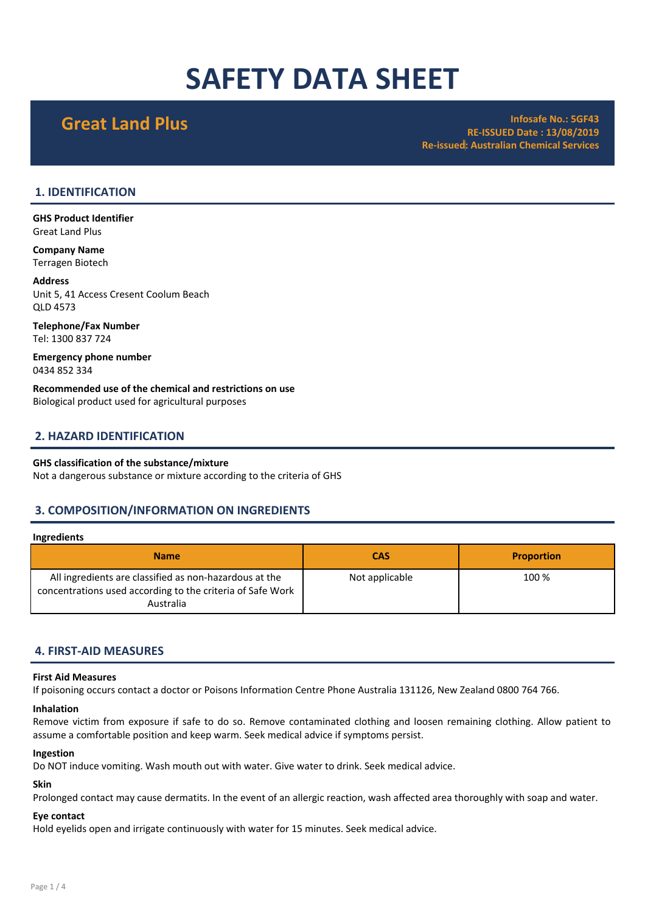# SAFETY DATA SHEET

Great Land Plus **Infosafe No.: 5GF43** RE-ISSUED Date : 13/08/2019 Re-issued: Australian Chemical Services

### 1. IDENTIFICATION

GHS Product Identifier Great Land Plus

Company Name Terragen Biotech

Address Unit 5, 41 Access Cresent Coolum Beach QLD 4573

Telephone/Fax Number Tel: 1300 837 724

Emergency phone number 0434 852 334

Recommended use of the chemical and restrictions on use Biological product used for agricultural purposes

### 2. HAZARD IDENTIFICATION

### GHS classification of the substance/mixture

Not a dangerous substance or mixture according to the criteria of GHS

### 3. COMPOSITION/INFORMATION ON INGREDIENTS

### Ingredients

| <b>Name</b>                                                                                                                       | <b>CAS</b>     | <b>Proportion</b> |
|-----------------------------------------------------------------------------------------------------------------------------------|----------------|-------------------|
| All ingredients are classified as non-hazardous at the<br>concentrations used according to the criteria of Safe Work<br>Australia | Not applicable | 100 %             |

### 4. FIRST-AID MEASURES

### First Aid Measures

If poisoning occurs contact a doctor or Poisons Information Centre Phone Australia 131126, New Zealand 0800 764 766.

### Inhalation

Remove victim from exposure if safe to do so. Remove contaminated clothing and loosen remaining clothing. Allow patient to assume a comfortable position and keep warm. Seek medical advice if symptoms persist.

### Ingestion

Do NOT induce vomiting. Wash mouth out with water. Give water to drink. Seek medical advice.

### Skin

Prolonged contact may cause dermatits. In the event of an allergic reaction, wash affected area thoroughly with soap and water.

### Eye contact

Hold eyelids open and irrigate continuously with water for 15 minutes. Seek medical advice.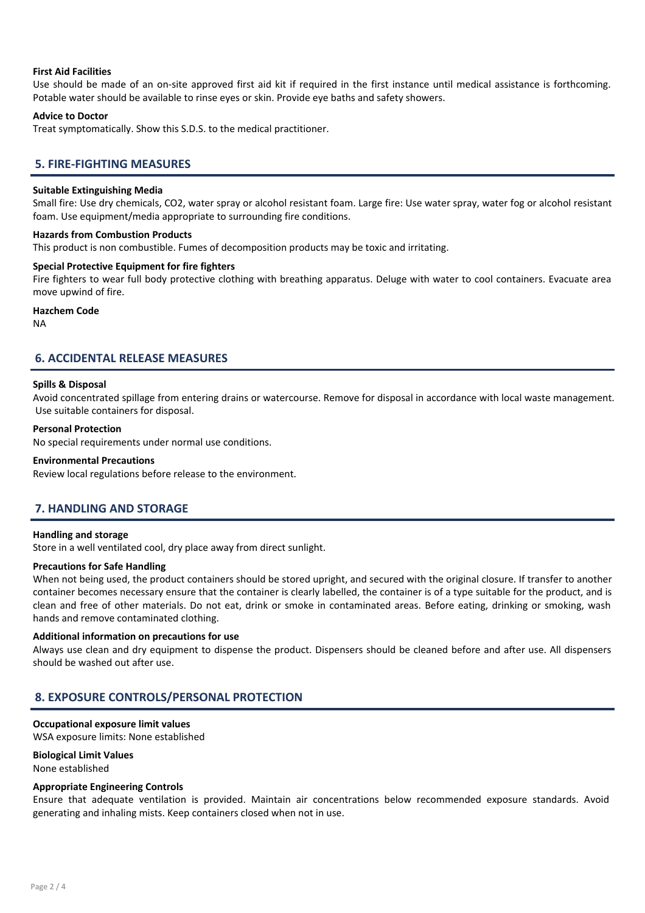### First Aid Facilities

Use should be made of an on-site approved first aid kit if required in the first instance until medical assistance is forthcoming. Potable water should be available to rinse eyes or skin. Provide eye baths and safety showers.

### Advice to Doctor

Treat symptomatically. Show this S.D.S. to the medical practitioner.

### 5. FIRE-FIGHTING MEASURES

### Suitable Extinguishing Media

Small fire: Use dry chemicals, CO2, water spray or alcohol resistant foam. Large fire: Use water spray, water fog or alcohol resistant foam. Use equipment/media appropriate to surrounding fire conditions.

### Hazards from Combustion Products

This product is non combustible. Fumes of decomposition products may be toxic and irritating.

### Special Protective Equipment for fire fighters

Fire fighters to wear full body protective clothing with breathing apparatus. Deluge with water to cool containers. Evacuate area move upwind of fire.

### Hazchem Code

NA

### 6. ACCIDENTAL RELEASE MEASURES

### Spills & Disposal

Avoid concentrated spillage from entering drains or watercourse. Remove for disposal in accordance with local waste management. Use suitable containers for disposal.

### Personal Protection

No special requirements under normal use conditions.

### Environmental Precautions

Review local regulations before release to the environment.

### 7. HANDLING AND STORAGE

### Handling and storage

Store in a well ventilated cool, dry place away from direct sunlight.

### Precautions for Safe Handling

When not being used, the product containers should be stored upright, and secured with the original closure. If transfer to another container becomes necessary ensure that the container is clearly labelled, the container is of a type suitable for the product, and is clean and free of other materials. Do not eat, drink or smoke in contaminated areas. Before eating, drinking or smoking, wash hands and remove contaminated clothing.

### Additional information on precautions for use

Always use clean and dry equipment to dispense the product. Dispensers should be cleaned before and after use. All dispensers should be washed out after use.

### 8. EXPOSURE CONTROLS/PERSONAL PROTECTION

## Occupational exposure limit values

WSA exposure limits: None established

### Biological Limit Values

None established

### Appropriate Engineering Controls

Ensure that adequate ventilation is provided. Maintain air concentrations below recommended exposure standards. Avoid generating and inhaling mists. Keep containers closed when not in use.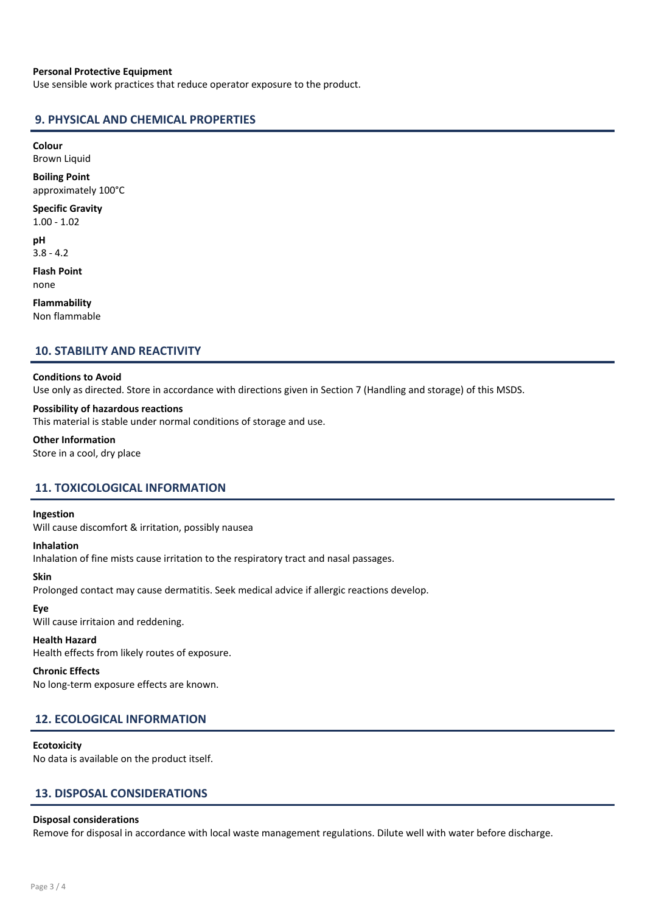### Personal Protective Equipment

Use sensible work practices that reduce operator exposure to the product.

### 9. PHYSICAL AND CHEMICAL PROPERTIES

Colour

Brown Liquid

Boiling Point approximately 100°C

Specific Gravity 1.00 - 1.02

pH

3.8 - 4.2 Flash Point

none

Flammability Non flammable

### 10. STABILITY AND REACTIVITY

### Conditions to Avoid

Use only as directed. Store in accordance with directions given in Section 7 (Handling and storage) of this MSDS.

### Possibility of hazardous reactions

This material is stable under normal conditions of storage and use.

#### Other Information

Store in a cool, dry place

### 11. TOXICOLOGICAL INFORMATION

### Ingestion

Will cause discomfort & irritation, possibly nausea

### Inhalation

Inhalation of fine mists cause irritation to the respiratory tract and nasal passages.

### Skin

Prolonged contact may cause dermatitis. Seek medical advice if allergic reactions develop.

### Eye

Will cause irritaion and reddening.

### Health Hazard

Health effects from likely routes of exposure.

### Chronic Effects

No long-term exposure effects are known.

### 12. ECOLOGICAL INFORMATION

### **Ecotoxicity**

No data is available on the product itself.

### 13. DISPOSAL CONSIDERATIONS

### Disposal considerations

Remove for disposal in accordance with local waste management regulations. Dilute well with water before discharge.